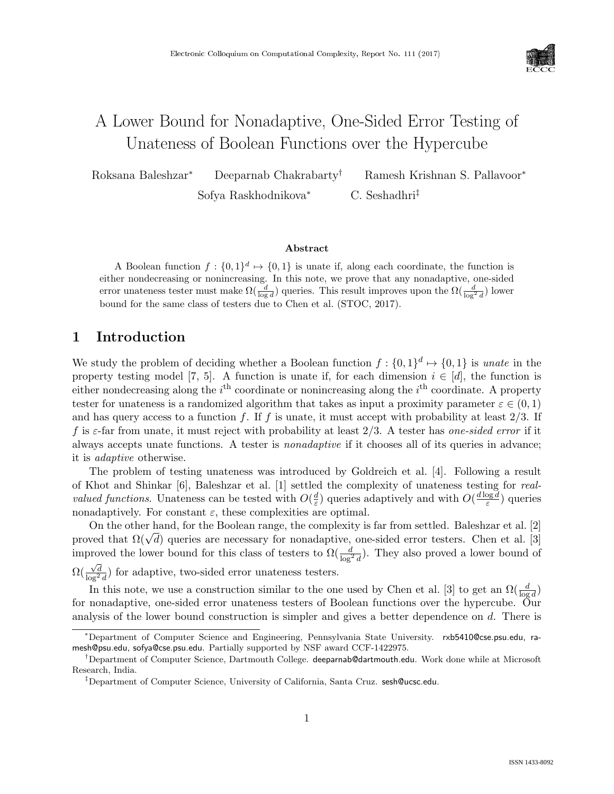

# A Lower Bound for Nonadaptive, One-Sided Error Testing of Unateness of Boolean Functions over the Hypercube

Roksana Baleshzar<sup>∗</sup> Deeparnab Chakrabarty† Ramesh Krishnan S. Pallavoor<sup>∗</sup> Sofya Raskhodnikova<sup>∗</sup> C. Seshadhri‡

#### Abstract

A Boolean function  $f: \{0,1\}^d \mapsto \{0,1\}$  is unate if, along each coordinate, the function is either nondecreasing or nonincreasing. In this note, we prove that any nonadaptive, one-sided error unateness tester must make  $\Omega(\frac{d}{\log d})$  queries. This result improves upon the  $\Omega(\frac{d}{\log^2 d})$  lower bound for the same class of testers due to Chen et al. (STOC, 2017).

### 1 Introduction

We study the problem of deciding whether a Boolean function  $f: \{0,1\}^d \mapsto \{0,1\}$  is unate in the property testing model [\[7,](#page--1-0) [5\]](#page--1-1). A function is unate if, for each dimension  $i \in [d]$ , the function is either nondecreasing along the  $i^{\text{th}}$  coordinate or nonincreasing along the  $i^{\text{th}}$  coordinate. A property tester for unateness is a randomized algorithm that takes as input a proximity parameter  $\varepsilon \in (0,1)$ and has query access to a function f. If f is unate, it must accept with probability at least  $2/3$ . If f is  $\varepsilon$ -far from unate, it must reject with probability at least 2/3. A tester has one-sided error if it always accepts unate functions. A tester is nonadaptive if it chooses all of its queries in advance; it is adaptive otherwise.

The problem of testing unateness was introduced by Goldreich et al. [\[4\]](#page--1-2). Following a result of Khot and Shinkar [\[6\]](#page--1-3), Baleshzar et al. [\[1\]](#page--1-4) settled the complexity of unateness testing for real*valued functions.* Unateness can be tested with  $O(\frac{d}{\varepsilon})$  $\frac{d}{\varepsilon}$ ) queries adaptively and with  $O(\frac{d \log d}{\varepsilon})$  $\frac{\log d}{\varepsilon}$ ) queries nonadaptively. For constant  $\varepsilon$ , these complexities are optimal.

On the other hand, for the Boolean range, the complexity is far from settled. Baleshzar et al. [\[2\]](#page--1-5) On the other hand, for the Boolean range, the complexity is far from settled. Balesnzar et al. [2] proved that  $\Omega(\sqrt{d})$  queries are necessary for nonadaptive, one-sided error testers. Chen et al. [\[3\]](#page--1-6) improved the lower bound for this class of testers to  $\Omega(\frac{d}{\log^2 d})$ . They also proved a lower bound of  $\Omega(\frac{\sqrt{d}}{\log^2 d})$  for adaptive, two-sided error unateness testers.

In this note, we use a construction similar to the one used by Chen et al. [\[3\]](#page--1-6) to get an  $\Omega(\frac{d}{\log d})$ for nonadaptive, one-sided error unateness testers of Boolean functions over the hypercube. Our analysis of the lower bound construction is simpler and gives a better dependence on d. There is

<sup>∗</sup>Department of Computer Science and Engineering, Pennsylvania State University. rxb5410@cse.psu.edu, ramesh@psu.edu, sofya@cse.psu.edu. Partially supported by NSF award CCF-1422975.

<sup>†</sup>Department of Computer Science, Dartmouth College. deeparnab@dartmouth.edu. Work done while at Microsoft Research, India.

<sup>‡</sup>Department of Computer Science, University of California, Santa Cruz. sesh@ucsc.edu.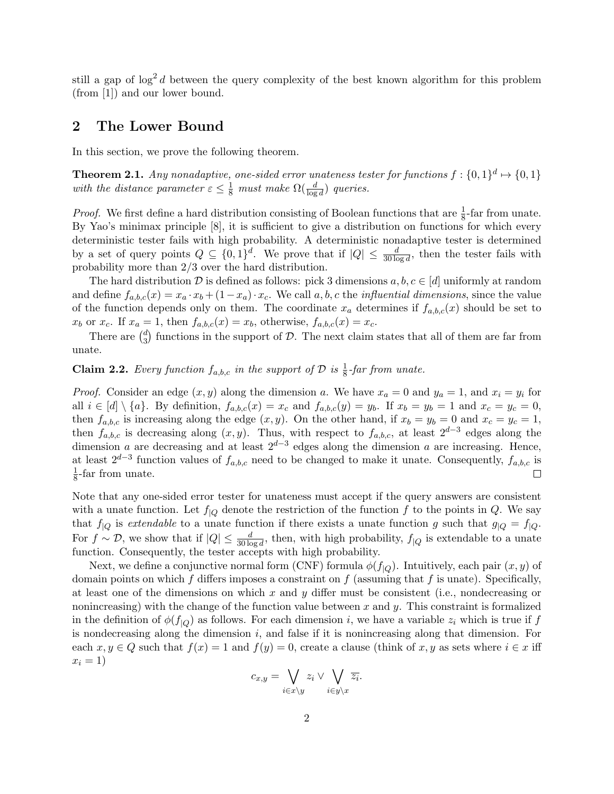still a gap of  $\log^2 d$  between the query complexity of the best known algorithm for this problem (from [\[1\]](#page-2-0)) and our lower bound.

#### 2 The Lower Bound

In this section, we prove the following theorem.

<span id="page-1-0"></span>**Theorem 2.1.** Any nonadaptive, one-sided error unateness tester for functions  $f: \{0,1\}^d \mapsto \{0,1\}$ with the distance parameter  $\varepsilon \leq \frac{1}{8}$  must make  $\Omega(\frac{d}{\log d})$  queries.

*Proof.* We first define a hard distribution consisting of Boolean functions that are  $\frac{1}{8}$ -far from unate. By Yao's minimax principle [\[8\]](#page--1-7), it is sufficient to give a distribution on functions for which every deterministic tester fails with high probability. A deterministic nonadaptive tester is determined by a set of query points  $Q \subseteq \{0,1\}^d$ . We prove that if  $|Q| \leq \frac{d}{30 \log d}$ , then the tester fails with probability more than 2/3 over the hard distribution.

The hard distribution D is defined as follows: pick 3 dimensions  $a, b, c \in [d]$  uniformly at random and define  $f_{a,b,c}(x) = x_a \cdot x_b + (1-x_a) \cdot x_c$ . We call a, b, c the *influential dimensions*, since the value of the function depends only on them. The coordinate  $x_a$  determines if  $f_{a,b,c}(x)$  should be set to  $x_b$  or  $x_c$ . If  $x_a = 1$ , then  $f_{a,b,c}(x) = x_b$ , otherwise,  $f_{a,b,c}(x) = x_c$ .

There are  $\binom{d}{3}$  $S_3$  functions in the support of D. The next claim states that all of them are far from unate.

## **Claim 2.2.** Every function  $f_{a,b,c}$  in the support of  $D$  is  $\frac{1}{8}$ -far from unate.

*Proof.* Consider an edge  $(x, y)$  along the dimension a. We have  $x_a = 0$  and  $y_a = 1$ , and  $x_i = y_i$  for all  $i \in [d] \setminus \{a\}$ . By definition,  $f_{a,b,c}(x) = x_c$  and  $f_{a,b,c}(y) = y_b$ . If  $x_b = y_b = 1$  and  $x_c = y_c = 0$ , then  $f_{a,b,c}$  is increasing along the edge  $(x, y)$ . On the other hand, if  $x_b = y_b = 0$  and  $x_c = y_c = 1$ , then  $f_{a,b,c}$  is decreasing along  $(x, y)$ . Thus, with respect to  $f_{a,b,c}$ , at least  $2^{d-3}$  edges along the dimension a are decreasing and at least  $2^{d-3}$  edges along the dimension a are increasing. Hence, at least  $2^{d-3}$  function values of  $f_{a,b,c}$  need to be changed to make it unate. Consequently,  $f_{a,b,c}$  is 1  $\frac{1}{8}$ -far from unate.  $\Box$ 

Note that any one-sided error tester for unateness must accept if the query answers are consistent with a unate function. Let  $f_{|Q}$  denote the restriction of the function f to the points in Q. We say that  $f_{|Q}$  is extendable to a unate function if there exists a unate function g such that  $g_{|Q} = f_{|Q}$ . For  $f \sim \mathcal{D}$ , we show that if  $|Q| \leq \frac{d}{30 \log d}$ , then, with high probability,  $f_{|Q}$  is extendable to a unate function. Consequently, the tester accepts with high probability.

Next, we define a conjunctive normal form (CNF) formula  $\phi(f_{\vert Q})$ . Intuitively, each pair  $(x, y)$  of domain points on which f differs imposes a constraint on f (assuming that f is unate). Specifically, at least one of the dimensions on which x and y differ must be consistent (i.e., nondecreasing or nonincreasing) with the change of the function value between  $x$  and  $y$ . This constraint is formalized in the definition of  $\phi(f_{|O})$  as follows. For each dimension i, we have a variable  $z_i$  which is true if f is nondecreasing along the dimension  $i$ , and false if it is nonincreasing along that dimension. For each  $x, y \in Q$  such that  $f(x) = 1$  and  $f(y) = 0$ , create a clause (think of x, y as sets where  $i \in x$  iff  $x_i = 1$ 

$$
c_{x,y} = \bigvee_{i \in x \setminus y} z_i \vee \bigvee_{i \in y \setminus x} \overline{z_i}.
$$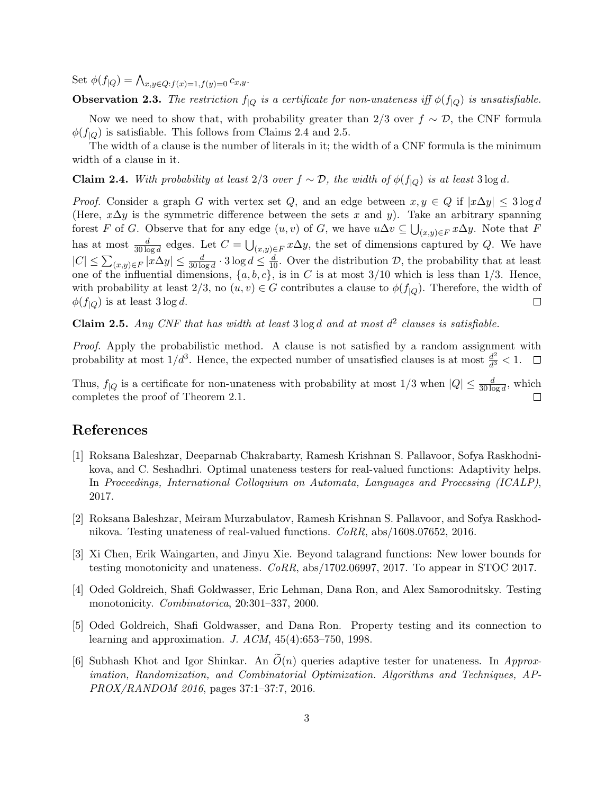Set  $\phi(f|_Q) = \bigwedge_{x,y \in Q: f(x)=1, f(y)=0} c_{x,y}.$ 

**Observation 2.3.** The restriction  $f_{\vert Q}$  is a certificate for non-unateness iff  $\phi(f_{\vert Q})$  is unsatisfiable.

Now we need to show that, with probability greater than 2/3 over  $f \sim \mathcal{D}$ , the CNF formula  $\phi(f_{\text{LO}})$  is satisfiable. This follows from Claims [2.4](#page-2-1) and [2.5.](#page-2-2)

The width of a clause is the number of literals in it; the width of a CNF formula is the minimum width of a clause in it.

<span id="page-2-1"></span>Claim 2.4. With probability at least 2/3 over  $f \sim \mathcal{D}$ , the width of  $\phi(f_{\vert Q})$  is at least 3 log d.

*Proof.* Consider a graph G with vertex set Q, and an edge between  $x, y \in Q$  if  $|x\Delta y| \leq 3 \log d$ (Here,  $x\Delta y$  is the symmetric difference between the sets x and y). Take an arbitrary spanning forest F of G. Observe that for any edge  $(u, v)$  of G, we have  $u\Delta v \subseteq \bigcup_{(x,y)\in F} x\Delta y$ . Note that F has at most  $\frac{d}{30 \log d}$  edges. Let  $C = \bigcup_{(x,y)\in F} x\Delta y$ , the set of dimensions captured by Q. We have  $|C| \leq \sum_{(x,y)\in F} |x\Delta y| \leq \frac{d}{30\log d} \cdot 3\log d \leq \frac{d}{10}$ . Over the distribution D, the probability that at least one of the influential dimensions,  $\{a, b, c\}$ , is in C is at most 3/10 which is less than 1/3. Hence, with probability at least  $2/3$ , no  $(u, v) \in G$  contributes a clause to  $\phi(f|_Q)$ . Therefore, the width of  $\phi(f_{\vert Q})$  is at least 3 log d.  $\Box$ 

<span id="page-2-2"></span>**Claim 2.5.** Any CNF that has width at least 3 log d and at most  $d^2$  clauses is satisfiable.

Proof. Apply the probabilistic method. A clause is not satisfied by a random assignment with probability at most  $1/d^3$ . Hence, the expected number of unsatisfied clauses is at most  $\frac{d^2}{d^3}$  $\frac{d^2}{d^3} < 1.$ 

Thus,  $f_{\vert Q}$  is a certificate for non-unateness with probability at most  $1/3$  when  $\vert Q \vert \leq \frac{d}{30 \log d}$ , which completes the proof of Theorem [2.1.](#page-1-0)  $\Box$ 

### References

- <span id="page-2-0"></span>[1] Roksana Baleshzar, Deeparnab Chakrabarty, Ramesh Krishnan S. Pallavoor, Sofya Raskhodnikova, and C. Seshadhri. Optimal unateness testers for real-valued functions: Adaptivity helps. In Proceedings, International Colloquium on Automata, Languages and Processing (ICALP), 2017.
- [2] Roksana Baleshzar, Meiram Murzabulatov, Ramesh Krishnan S. Pallavoor, and Sofya Raskhodnikova. Testing unateness of real-valued functions. CoRR, abs/1608.07652, 2016.
- [3] Xi Chen, Erik Waingarten, and Jinyu Xie. Beyond talagrand functions: New lower bounds for testing monotonicity and unateness. CoRR, abs/1702.06997, 2017. To appear in STOC 2017.
- [4] Oded Goldreich, Shafi Goldwasser, Eric Lehman, Dana Ron, and Alex Samorodnitsky. Testing monotonicity. Combinatorica, 20:301–337, 2000.
- [5] Oded Goldreich, Shafi Goldwasser, and Dana Ron. Property testing and its connection to learning and approximation. J. ACM, 45(4):653–750, 1998.
- [6] Subhash Khot and Igor Shinkar. An  $\tilde{O}(n)$  queries adaptive tester for unateness. In Approximation, Randomization, and Combinatorial Optimization. Algorithms and Techniques, AP-PROX/RANDOM 2016, pages 37:1–37:7, 2016.